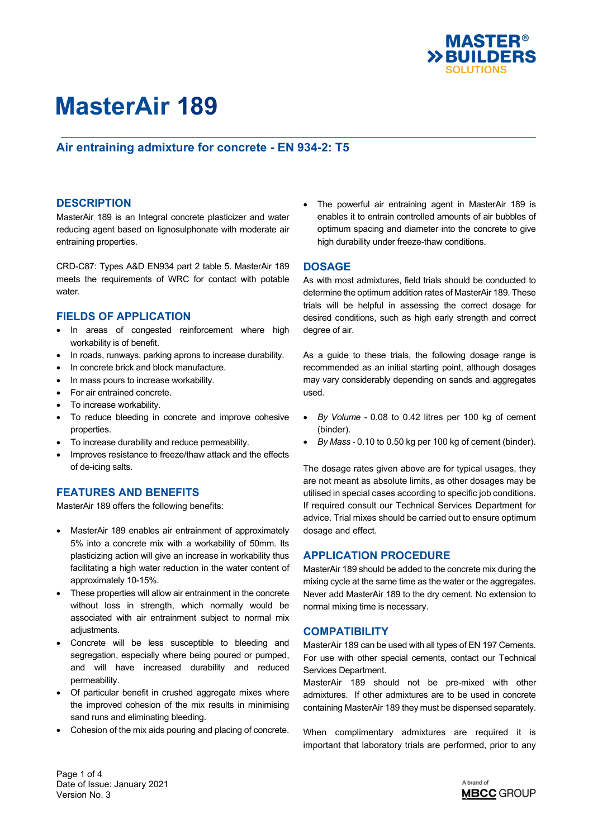

## **Air entraining admixture for concrete - EN 934-2: T5**

### **DESCRIPTION**

MasterAir 189 is an Integral concrete plasticizer and water reducing agent based on lignosulphonate with moderate air entraining properties.

CRD-C87: Types A&D EN934 part 2 table 5. MasterAir 189 meets the requirements of WRC for contact with potable water.

### **FIELDS OF APPLICATION**

- In areas of congested reinforcement where high workability is of benefit.
- In roads, runways, parking aprons to increase durability.
- In concrete brick and block manufacture.
- In mass pours to increase workability.
- For air entrained concrete.
- To increase workability.
- To reduce bleeding in concrete and improve cohesive properties.
- To increase durability and reduce permeability.
- Improves resistance to freeze/thaw attack and the effects of de-icing salts.

### **FEATURES AND BENEFITS**

MasterAir 189 offers the following benefits:

- MasterAir 189 enables air entrainment of approximately 5% into a concrete mix with a workability of 50mm. Its plasticizing action will give an increase in workability thus facilitating a high water reduction in the water content of approximately 10-15%.
- These properties will allow air entrainment in the concrete without loss in strength, which normally would be associated with air entrainment subject to normal mix adjustments.
- Concrete will be less susceptible to bleeding and segregation, especially where being poured or pumped, and will have increased durability and reduced permeability.
- Of particular benefit in crushed aggregate mixes where the improved cohesion of the mix results in minimising sand runs and eliminating bleeding.
- Cohesion of the mix aids pouring and placing of concrete.

 The powerful air entraining agent in MasterAir 189 is enables it to entrain controlled amounts of air bubbles of optimum spacing and diameter into the concrete to give high durability under freeze-thaw conditions.

### **DOSAGE**

As with most admixtures, field trials should be conducted to determine the optimum addition rates of MasterAir 189. These trials will be helpful in assessing the correct dosage for desired conditions, such as high early strength and correct degree of air.

As a guide to these trials, the following dosage range is recommended as an initial starting point, although dosages may vary considerably depending on sands and aggregates used.

- *By Volume* 0.08 to 0.42 litres per 100 kg of cement (binder).
- *By Mass* 0.10 to 0.50 kg per 100 kg of cement (binder).

The dosage rates given above are for typical usages, they are not meant as absolute limits, as other dosages may be utilised in special cases according to specific job conditions. If required consult our Technical Services Department for advice. Trial mixes should be carried out to ensure optimum dosage and effect.

### **APPLICATION PROCEDURE**

MasterAir 189 should be added to the concrete mix during the mixing cycle at the same time as the water or the aggregates. Never add MasterAir 189 to the dry cement. No extension to normal mixing time is necessary.

### **COMPATIBILITY**

MasterAir 189 can be used with all types of EN 197 Cements. For use with other special cements, contact our Technical Services Department.

MasterAir 189 should not be pre-mixed with other admixtures. If other admixtures are to be used in concrete containing MasterAir 189 they must be dispensed separately.

When complimentary admixtures are required it is important that laboratory trials are performed, prior to any

Page 1 of 4 Date of Issue: January 2021 Version No. 3

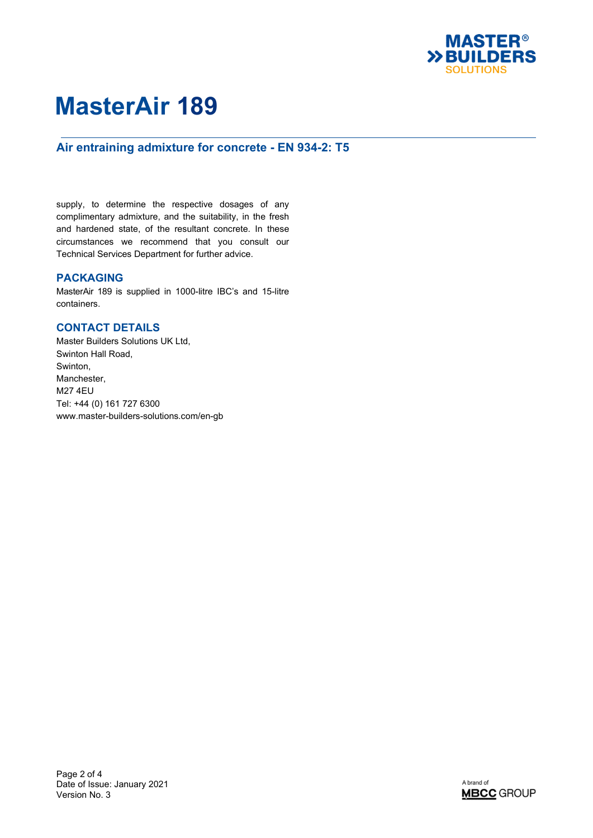

## **Air entraining admixture for concrete - EN 934-2: T5**

supply, to determine the respective dosages of any complimentary admixture, and the suitability, in the fresh and hardened state, of the resultant concrete. In these circumstances we recommend that you consult our Technical Services Department for further advice.

### **PACKAGING**

MasterAir 189 is supplied in 1000-litre IBC's and 15-litre containers.

### **CONTACT DETAILS**

Master Builders Solutions UK Ltd, Swinton Hall Road, Swinton, Manchester, M27 4EU Tel: +44 (0) 161 727 6300 www.master-builders-solutions.com/en-gb

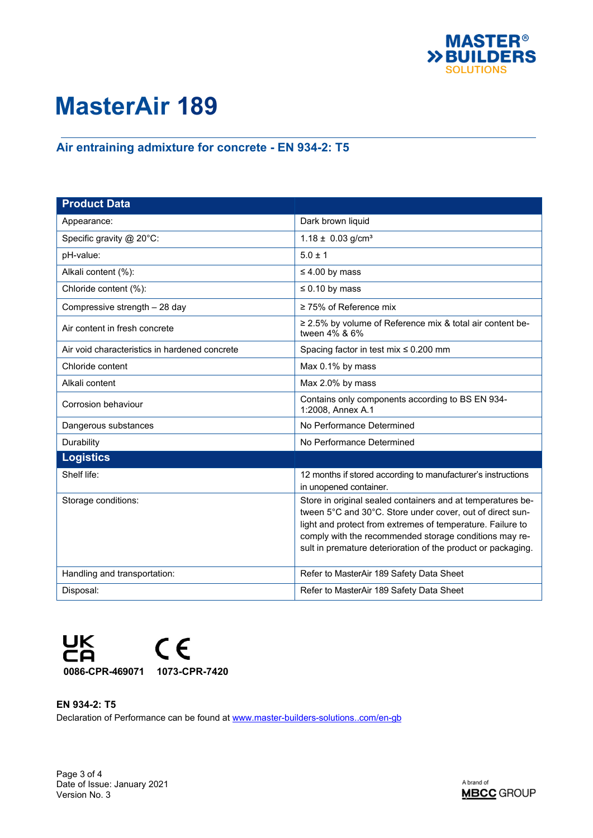

# **Air entraining admixture for concrete - EN 934-2: T5**

| <b>Product Data</b>                           |                                                                                                                                                                                                                                                                                                                  |
|-----------------------------------------------|------------------------------------------------------------------------------------------------------------------------------------------------------------------------------------------------------------------------------------------------------------------------------------------------------------------|
| Appearance:                                   | Dark brown liquid                                                                                                                                                                                                                                                                                                |
| Specific gravity @ 20°C:                      | $1.18 \pm 0.03$ g/cm <sup>3</sup>                                                                                                                                                                                                                                                                                |
| pH-value:                                     | $5.0 \pm 1$                                                                                                                                                                                                                                                                                                      |
| Alkali content (%):                           | $\leq 4.00$ by mass                                                                                                                                                                                                                                                                                              |
| Chloride content (%):                         | $\leq 0.10$ by mass                                                                                                                                                                                                                                                                                              |
| Compressive strength - 28 day                 | $\geq$ 75% of Reference mix                                                                                                                                                                                                                                                                                      |
| Air content in fresh concrete                 | ≥ 2.5% by volume of Reference mix & total air content be-<br>tween 4% & 6%                                                                                                                                                                                                                                       |
| Air void characteristics in hardened concrete | Spacing factor in test mix $\leq 0.200$ mm                                                                                                                                                                                                                                                                       |
| Chloride content                              | Max 0.1% by mass                                                                                                                                                                                                                                                                                                 |
| Alkali content                                | Max 2.0% by mass                                                                                                                                                                                                                                                                                                 |
| Corrosion behaviour                           | Contains only components according to BS EN 934-<br>1:2008, Annex A.1                                                                                                                                                                                                                                            |
| Dangerous substances                          | No Performance Determined                                                                                                                                                                                                                                                                                        |
| Durability                                    | No Performance Determined                                                                                                                                                                                                                                                                                        |
| <b>Logistics</b>                              |                                                                                                                                                                                                                                                                                                                  |
| Shelf life:                                   | 12 months if stored according to manufacturer's instructions<br>in unopened container.                                                                                                                                                                                                                           |
| Storage conditions:                           | Store in original sealed containers and at temperatures be-<br>tween 5°C and 30°C. Store under cover, out of direct sun-<br>light and protect from extremes of temperature. Failure to<br>comply with the recommended storage conditions may re-<br>sult in premature deterioration of the product or packaging. |
| Handling and transportation:                  | Refer to MasterAir 189 Safety Data Sheet                                                                                                                                                                                                                                                                         |
| Disposal:                                     | Refer to MasterAir 189 Safety Data Sheet                                                                                                                                                                                                                                                                         |



### **EN 934-2: T5**

Declaration of Performance can be found at [www.master-builders-solutions..com/en-gb](http://www.master-builders-solutions..com/en-gb)

Page 3 of 4 Date of Issue: January 2021 Version No. 3